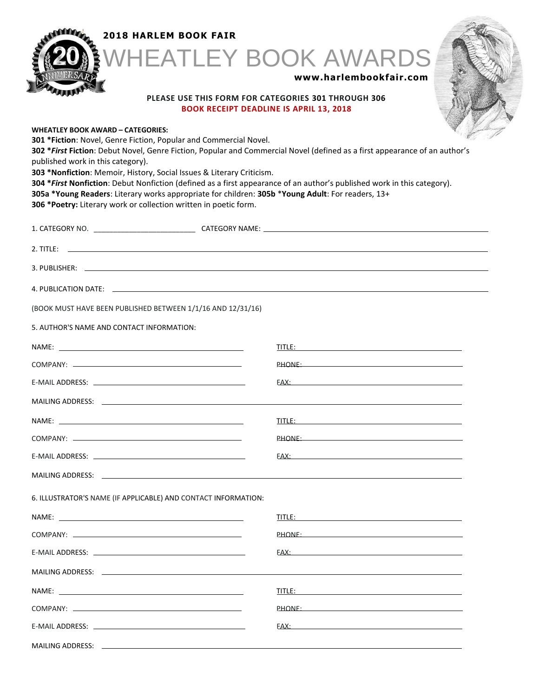